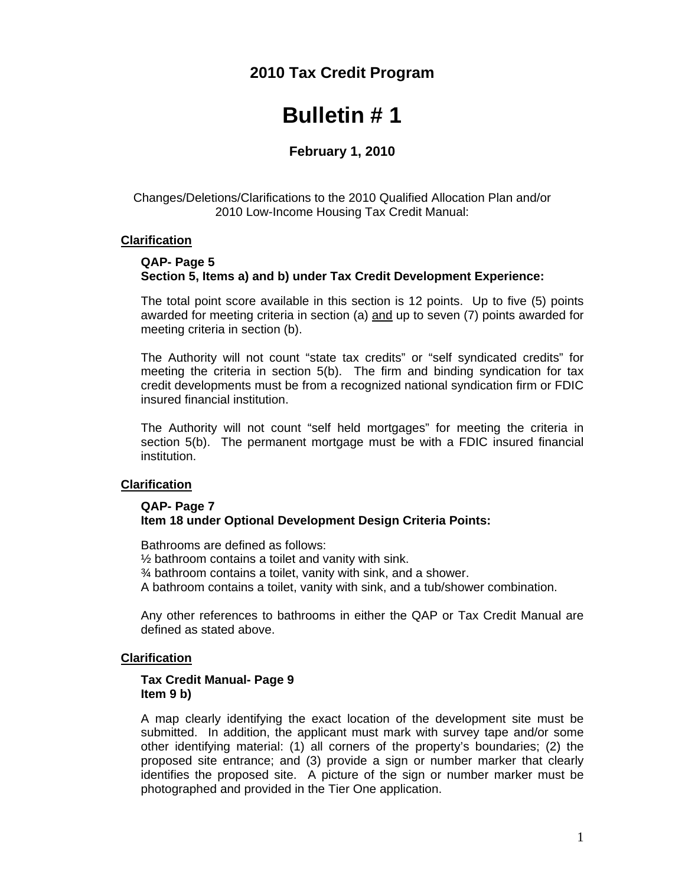## **2010 Tax Credit Program**

# **Bulletin # 1**

## **February 1, 2010**

Changes/Deletions/Clarifications to the 2010 Qualified Allocation Plan and/or 2010 Low-Income Housing Tax Credit Manual:

#### **Clarification**

#### **QAP- Page 5 Section 5, Items a) and b) under Tax Credit Development Experience:**

The total point score available in this section is 12 points. Up to five (5) points awarded for meeting criteria in section (a) and up to seven (7) points awarded for meeting criteria in section (b).

The Authority will not count "state tax credits" or "self syndicated credits" for meeting the criteria in section 5(b). The firm and binding syndication for tax credit developments must be from a recognized national syndication firm or FDIC insured financial institution.

The Authority will not count "self held mortgages" for meeting the criteria in section 5(b). The permanent mortgage must be with a FDIC insured financial institution.

#### **Clarification**

#### **QAP- Page 7 Item 18 under Optional Development Design Criteria Points:**

Bathrooms are defined as follows:

½ bathroom contains a toilet and vanity with sink.

¾ bathroom contains a toilet, vanity with sink, and a shower.

A bathroom contains a toilet, vanity with sink, and a tub/shower combination.

Any other references to bathrooms in either the QAP or Tax Credit Manual are defined as stated above.

#### **Clarification**

#### **Tax Credit Manual- Page 9 Item 9 b)**

 A map clearly identifying the exact location of the development site must be submitted. In addition, the applicant must mark with survey tape and/or some other identifying material: (1) all corners of the property's boundaries; (2) the proposed site entrance; and (3) provide a sign or number marker that clearly identifies the proposed site. A picture of the sign or number marker must be photographed and provided in the Tier One application.